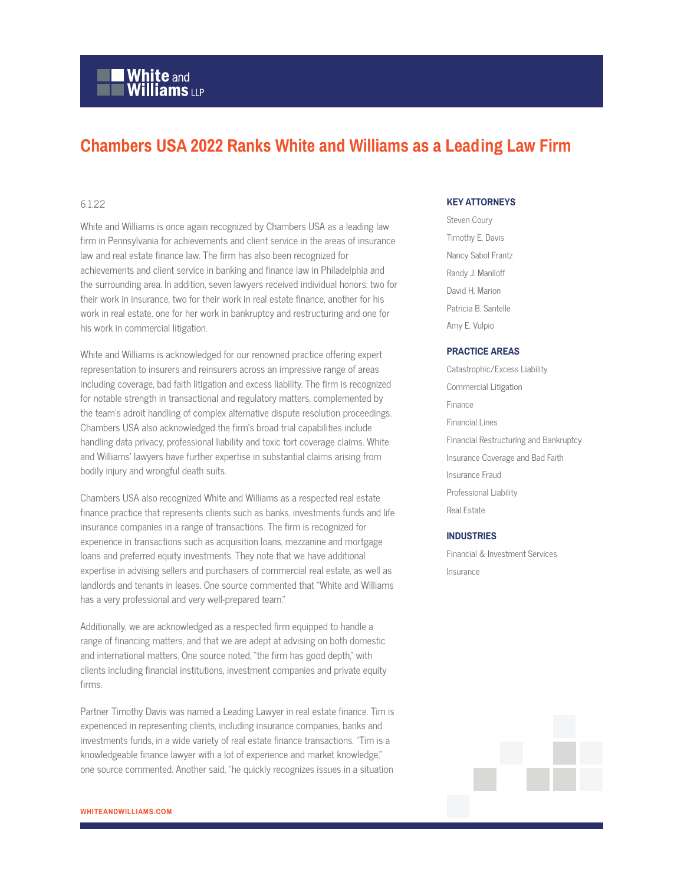# **White and Williams LLP**

# **Chambers USA 2022 Ranks White and Williams as a Leading Law Firm**

## 6.1.22

White and Williams is once again recognized by Chambers USA as a leading law firm in Pennsylvania for achievements and client service in the areas of insurance law and real estate finance law. The firm has also been recognized for achievements and client service in banking and finance law in Philadelphia and the surrounding area. In addition, seven lawyers received individual honors: two for their work in insurance, two for their work in real estate finance, another for his work in real estate, one for her work in bankruptcy and restructuring and one for his work in commercial litigation.

White and Williams is acknowledged for our renowned practice offering expert representation to insurers and reinsurers across an impressive range of areas including coverage, bad faith litigation and excess liability. The firm is recognized for notable strength in transactional and regulatory matters, complemented by the team's adroit handling of complex alternative dispute resolution proceedings. Chambers USA also acknowledged the firm's broad trial capabilities include handling data privacy, professional liability and toxic tort coverage claims. White and Williams' lawyers have further expertise in substantial claims arising from bodily injury and wrongful death suits.

Chambers USA also recognized White and Williams as a respected real estate finance practice that represents clients such as banks, investments funds and life insurance companies in a range of transactions. The firm is recognized for experience in transactions such as acquisition loans, mezzanine and mortgage loans and preferred equity investments. They note that we have additional expertise in advising sellers and purchasers of commercial real estate, as well as landlords and tenants in leases. One source commented that "White and Williams has a very professional and very well-prepared team."

Additionally, we are acknowledged as a respected firm equipped to handle a range of financing matters, and that we are adept at advising on both domestic and international matters. One source noted, "the firm has good depth," with clients including financial institutions, investment companies and private equity firms.

Partner Timothy Davis was named a Leading Lawyer in real estate finance. Tim is experienced in representing clients, including insurance companies, banks and investments funds, in a wide variety of real estate finance transactions. "Tim is a knowledgeable finance lawyer with a lot of experience and market knowledge," one source commented. Another said, "he quickly recognizes issues in a situation

# **KEY ATTORNEYS**

Steven Coury Timothy E. Davis Nancy Sabol Frantz Randy J. Maniloff David H. Marion Patricia B. Santelle Amy E. Vulpio

#### **PRACTICE AREAS**

Catastrophic/Excess Liability Commercial Litigation Finance Financial Lines Financial Restructuring and Bankruptcy Insurance Coverage and Bad Faith Insurance Fraud Professional Liability Real Estate

### **INDUSTRIES**

Financial & Investment Services Insurance